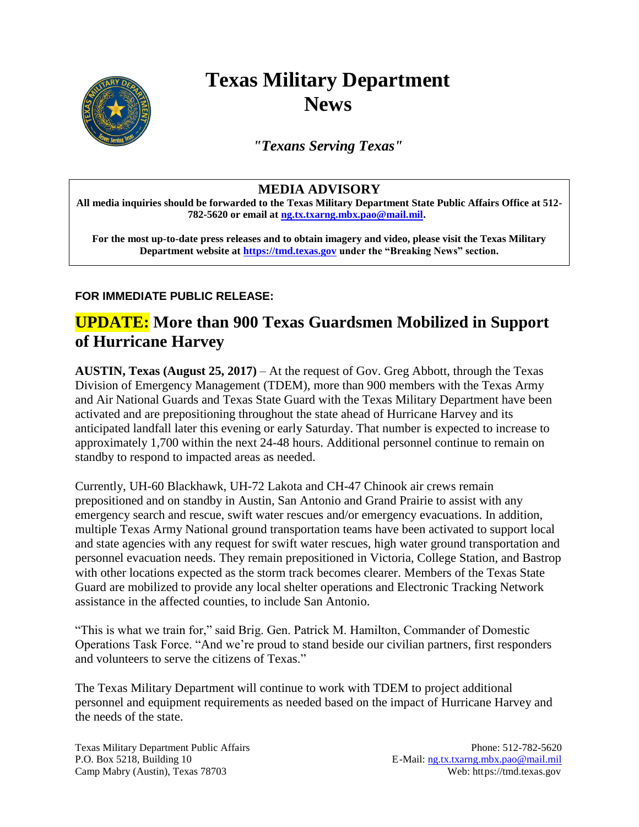

# **Texas Military Department News**

*"Texans Serving Texas"*

### **MEDIA ADVISORY**

**All media inquiries should be forwarded to the Texas Military Department State Public Affairs Office at 512- 782-5620 or email at [ng.tx.txarng.mbx.pao@mail.mil.](mailto:ng.tx.txarng.mbx.pao@mail.mil)**

**For the most up-to-date press releases and to obtain imagery and video, please visit the Texas Military Department website at [https://tmd.texas.gov](https://tmd.texas.gov/) under the "Breaking News" section.** 

#### **FOR IMMEDIATE PUBLIC RELEASE:**

## **UPDATE: More than 900 Texas Guardsmen Mobilized in Support of Hurricane Harvey**

**AUSTIN, Texas (August 25, 2017)** – At the request of Gov. Greg Abbott, through the Texas Division of Emergency Management (TDEM), more than 900 members with the Texas Army and Air National Guards and Texas State Guard with the Texas Military Department have been activated and are prepositioning throughout the state ahead of Hurricane Harvey and its anticipated landfall later this evening or early Saturday. That number is expected to increase to approximately 1,700 within the next 24-48 hours. Additional personnel continue to remain on standby to respond to impacted areas as needed.

Currently, UH-60 Blackhawk, UH-72 Lakota and CH-47 Chinook air crews remain prepositioned and on standby in Austin, San Antonio and Grand Prairie to assist with any emergency search and rescue, swift water rescues and/or emergency evacuations. In addition, multiple Texas Army National ground transportation teams have been activated to support local and state agencies with any request for swift water rescues, high water ground transportation and personnel evacuation needs. They remain prepositioned in Victoria, College Station, and Bastrop with other locations expected as the storm track becomes clearer. Members of the Texas State Guard are mobilized to provide any local shelter operations and Electronic Tracking Network assistance in the affected counties, to include San Antonio.

"This is what we train for," said Brig. Gen. Patrick M. Hamilton, Commander of Domestic Operations Task Force. "And we're proud to stand beside our civilian partners, first responders and volunteers to serve the citizens of Texas."

The Texas Military Department will continue to work with TDEM to project additional personnel and equipment requirements as needed based on the impact of Hurricane Harvey and the needs of the state.

Texas Military Department Public Affairs Phone: 512-782-5620 P.O. Box 5218, Building 10 E-Mail: [ng.tx.txarng.mbx.pao@mail.mil](mailto:ng.tx.txarng.mbx.pao@mail.mil) Camp Mabry (Austin), Texas 78703 Web: https://tmd.texas.gov